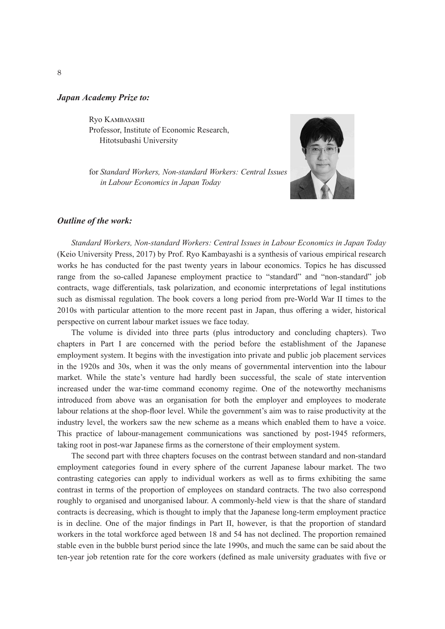#### *Japan Academy Prize to:*

Ryo Kambayashi Professor, Institute of Economic Research, Hitotsubashi University

for *Standard Workers, Non-standard Workers: Central Issues in Labour Economics in Japan Today*



### *Outline of the work:*

*Standard Workers, Non-standard Workers: Central Issues in Labour Economics in Japan Today* (Keio University Press, 2017) by Prof. Ryo Kambayashi is a synthesis of various empirical research works he has conducted for the past twenty years in labour economics. Topics he has discussed range from the so-called Japanese employment practice to "standard" and "non-standard" job contracts, wage differentials, task polarization, and economic interpretations of legal institutions such as dismissal regulation. The book covers a long period from pre-World War II times to the 2010s with particular attention to the more recent past in Japan, thus offering a wider, historical perspective on current labour market issues we face today.

The volume is divided into three parts (plus introductory and concluding chapters). Two chapters in Part I are concerned with the period before the establishment of the Japanese employment system. It begins with the investigation into private and public job placement services in the 1920s and 30s, when it was the only means of governmental intervention into the labour market. While the state's venture had hardly been successful, the scale of state intervention increased under the war-time command economy regime. One of the noteworthy mechanisms introduced from above was an organisation for both the employer and employees to moderate labour relations at the shop-floor level. While the government's aim was to raise productivity at the industry level, the workers saw the new scheme as a means which enabled them to have a voice. This practice of labour-management communications was sanctioned by post-1945 reformers, taking root in post-war Japanese firms as the cornerstone of their employment system.

The second part with three chapters focuses on the contrast between standard and non-standard employment categories found in every sphere of the current Japanese labour market. The two contrasting categories can apply to individual workers as well as to firms exhibiting the same contrast in terms of the proportion of employees on standard contracts. The two also correspond roughly to organised and unorganised labour. A commonly-held view is that the share of standard contracts is decreasing, which is thought to imply that the Japanese long-term employment practice is in decline. One of the major findings in Part II, however, is that the proportion of standard workers in the total workforce aged between 18 and 54 has not declined. The proportion remained stable even in the bubble burst period since the late 1990s, and much the same can be said about the ten-year job retention rate for the core workers (defined as male university graduates with five or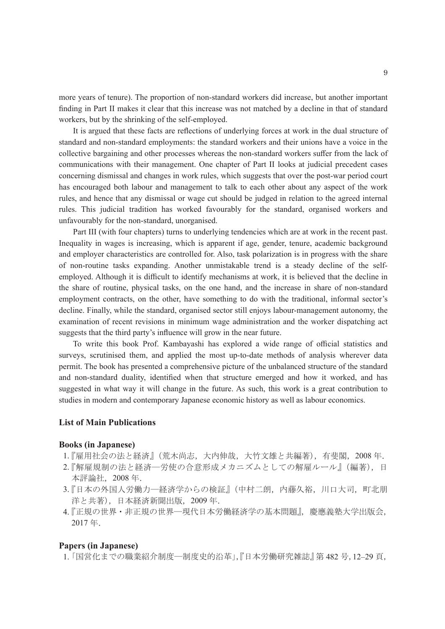more years of tenure). The proportion of non-standard workers did increase, but another important finding in Part II makes it clear that this increase was not matched by a decline in that of standard workers, but by the shrinking of the self-employed.

It is argued that these facts are reflections of underlying forces at work in the dual structure of standard and non-standard employments: the standard workers and their unions have a voice in the collective bargaining and other processes whereas the non-standard workers suffer from the lack of communications with their management. One chapter of Part II looks at judicial precedent cases concerning dismissal and changes in work rules, which suggests that over the post-war period court has encouraged both labour and management to talk to each other about any aspect of the work rules, and hence that any dismissal or wage cut should be judged in relation to the agreed internal rules. This judicial tradition has worked favourably for the standard, organised workers and unfavourably for the non-standard, unorganised.

Part III (with four chapters) turns to underlying tendencies which are at work in the recent past. Inequality in wages is increasing, which is apparent if age, gender, tenure, academic background and employer characteristics are controlled for. Also, task polarization is in progress with the share of non-routine tasks expanding. Another unmistakable trend is a steady decline of the selfemployed. Although it is difficult to identify mechanisms at work, it is believed that the decline in the share of routine, physical tasks, on the one hand, and the increase in share of non-standard employment contracts, on the other, have something to do with the traditional, informal sector's decline. Finally, while the standard, organised sector still enjoys labour-management autonomy, the examination of recent revisions in minimum wage administration and the worker dispatching act suggests that the third party's influence will grow in the near future.

To write this book Prof. Kambayashi has explored a wide range of official statistics and surveys, scrutinised them, and applied the most up-to-date methods of analysis wherever data permit. The book has presented a comprehensive picture of the unbalanced structure of the standard and non-standard duality, identified when that structure emerged and how it worked, and has suggested in what way it will change in the future. As such, this work is a great contribution to studies in modern and contemporary Japanese economic history as well as labour economics.

# **List of Main Publications**

## **Books (in Japanese)**

- 1.『雇用社会の法と経済』(荒木尚志,大内伸哉,大竹文雄と共編著),有斐閣, 2008年.
- 2.『解雇規制の法と経済―労使の合意形成メカニズムとしての解雇ルール』(編著),日 本評論社,2008 年.
- 3.『日本の外国人労働力–経済学からの検証』(中村二朗,内藤久裕,川口大司,町北朋 洋と共著),日本経済新聞出版,2009 年.
- 4.『正規の世界・非正規の世界―現代日本労働経済学の基本問題』, 慶應義塾大学出版会, 2017 年.

# **Papers (in Japanese)**

1. 「国営化までの職業紹介制度―制度史的沿革」,『日本労働研究雑誌』第 482 号,12–29 頁,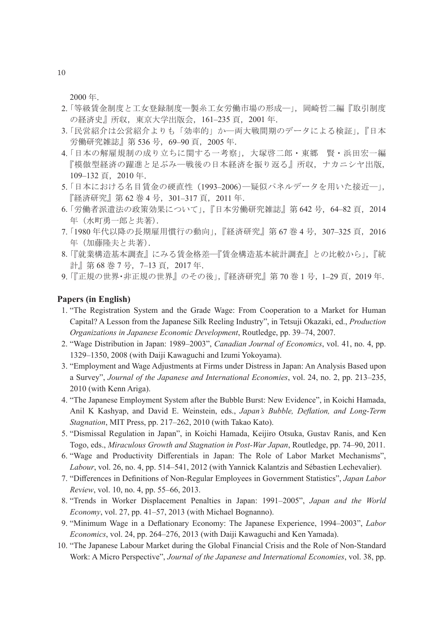2000 年.

- 2. 「等級賃金制度と工女登録制度―製糸工女労働市場の形成―」, 岡崎哲二編『取引制度 の経済史』所収,東京大学出版会,161–235 頁,2001 年.
- 3. 「民営紹介は公営紹介よりも「効率的」か―両大戦間期のデータによる検証」,『日本 労働研究雑誌』第 536 号, 69-90 頁, 2005 年.
- 4. 「日本の解雇規制の成り立ちに関する一考察」,大塚啓二郎・東郷 賢・浜田宏一編 『模倣型経済の躍進と足ぶみ―戦後の日本経済を振り返る』所収,ナカニシヤ出版, 109–132 頁,2010 年.
- 5. 「日本における名目賃金の硬直性(1993-2006)–疑似パネルデータを用いた接近ー」。 『経済研究』第 62 巻 4 号,301–317 頁,2011 年.
- 6. 「労働者派遣法の政策効果について」,『日本労働研究雑誌』第 642号, 64-82 頁, 2014 年(水町勇一郎と共著).
- 7. 「1980年代以降の長期雇用慣行の動向」,『経済研究』第67巻4号, 307-325 頁, 2016 年(加藤隆夫と共著).
- 8. 「『就業構造基本調査』にみる賃金格差―『賃金構造基本統計調査』との比較から」,『統 計』第68巻7号, 7-13頁, 2017年.
- 9. 「『正規の世界・非正規の世界』のその後」,『経済研究』第70巻1号, 1-29頁, 2019年.

# **Papers (in English)**

- 1. "The Registration System and the Grade Wage: From Cooperation to a Market for Human Capital? A Lesson from the Japanese Silk Reeling Industry", in Tetsuji Okazaki, ed., *Production Organizations in Japanese Economic Development*, Routledge, pp. 39–74, 2007.
- 2. "Wage Distribution in Japan: 1989–2003", *Canadian Journal of Economics*, vol. 41, no. 4, pp. 1329–1350, 2008 (with Daiji Kawaguchi and Izumi Yokoyama).
- 3. "Employment and Wage Adjustments at Firms under Distress in Japan: An Analysis Based upon a Survey", *Journal of the Japanese and International Economies*, vol. 24, no. 2, pp. 213–235, 2010 (with Kenn Ariga).
- 4. "The Japanese Employment System after the Bubble Burst: New Evidence", in Koichi Hamada, Anil K Kashyap, and David E. Weinstein, eds., *Japan's Bubble, Deflation, and Long-Term Stagnation*, MIT Press, pp. 217–262, 2010 (with Takao Kato).
- 5. "Dismissal Regulation in Japan", in Koichi Hamada, Keijiro Otsuka, Gustav Ranis, and Ken Togo, eds., *Miraculous Growth and Stagnation in Post-War Japan*, Routledge, pp. 74–90, 2011.
- 6. "Wage and Productivity Differentials in Japan: The Role of Labor Market Mechanisms", *Labour*, vol. 26, no. 4, pp. 514–541, 2012 (with Yannick Kalantzis and Sébastien Lechevalier).
- 7. "Differences in Definitions of Non-Regular Employees in Government Statistics", *Japan Labor Review*, vol. 10, no. 4, pp. 55–66, 2013.
- 8. "Trends in Worker Displacement Penalties in Japan: 1991–2005", *Japan and the World Economy*, vol. 27, pp. 41–57, 2013 (with Michael Bognanno).
- 9. "Minimum Wage in a Deflationary Economy: The Japanese Experience, 1994–2003", *Labor Economics*, vol. 24, pp. 264–276, 2013 (with Daiji Kawaguchi and Ken Yamada).
- 10. "The Japanese Labour Market during the Global Financial Crisis and the Role of Non-Standard Work: A Micro Perspective", *Journal of the Japanese and International Economies*, vol. 38, pp.

10